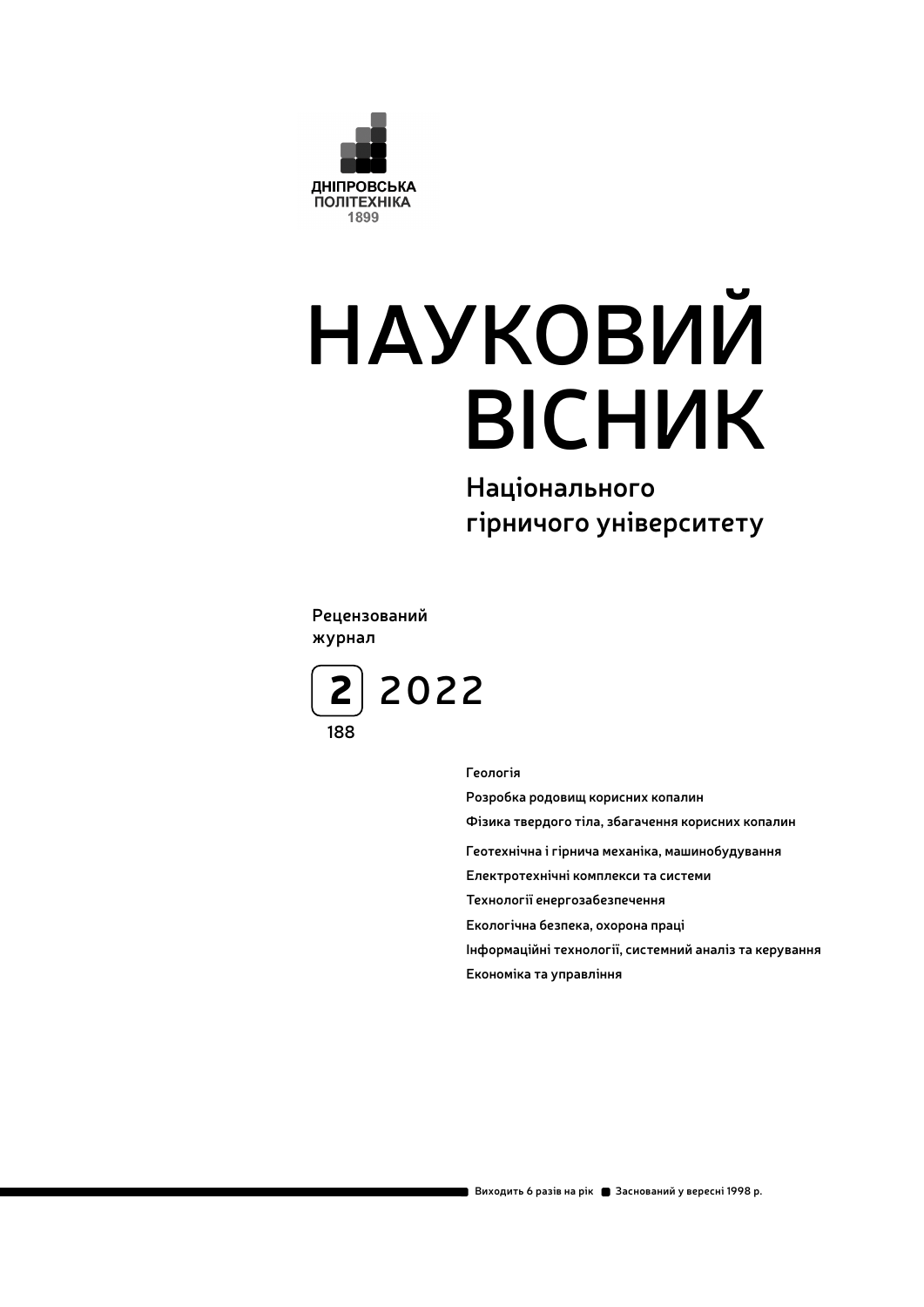

# **НАУКОВИЙ ВІСНИК**

**Національного гірничого університету**

**Рецензований журнал**



**Геологія**

**Розробка родовищ корисних копалин Фізика твердого тіла, збагачення корисних копалин Геотехнічна і гірнича механіка, машинобудування Електротехнічні комплекси та системи Технології енергозабезпечення Екологічна безпека, охорона праці Інформаційні технології, системний аналіз та керування Економіка та управління**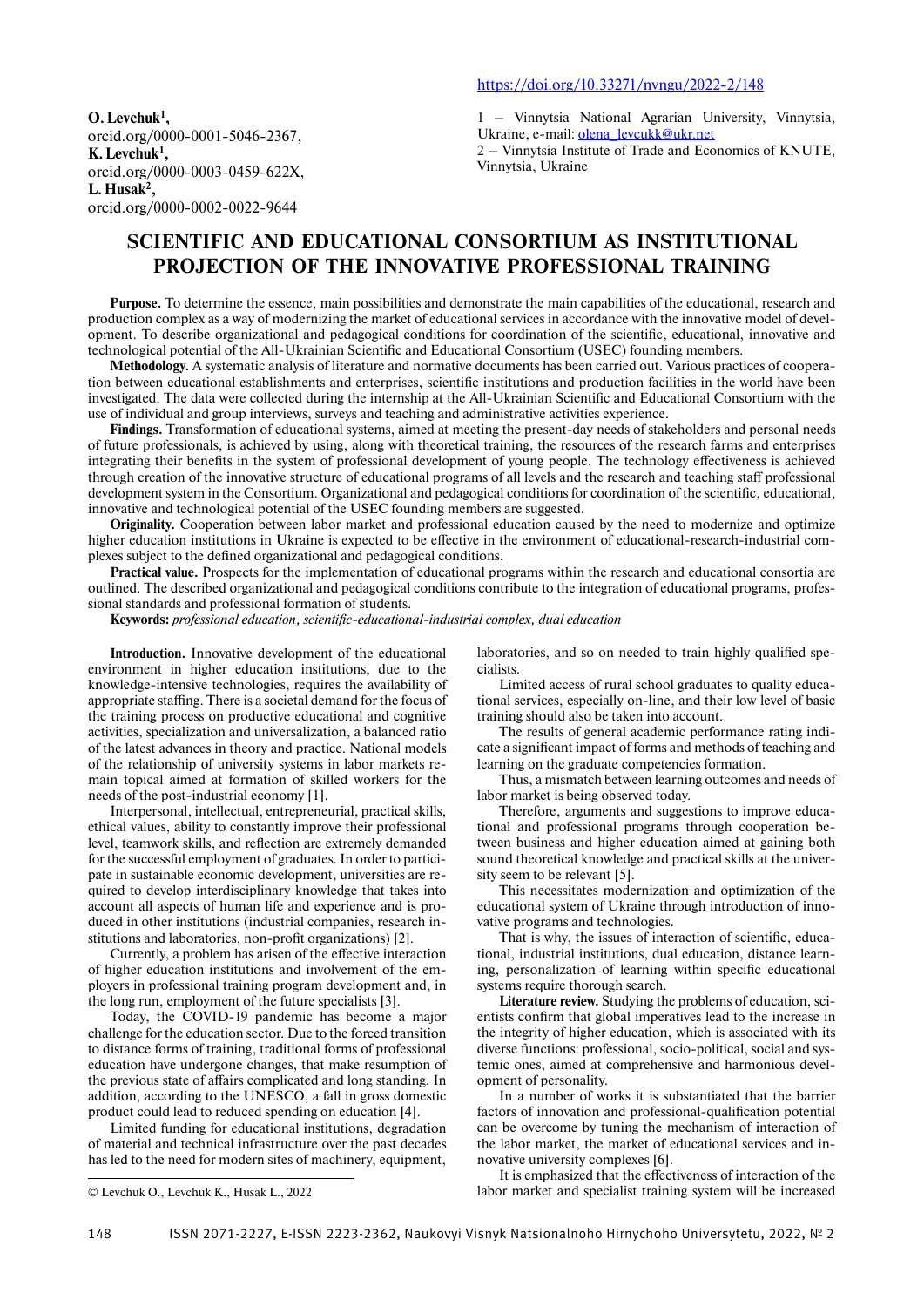**O. Levchuk1 ,** orcid.org/0000-0001-5046-2367, **K. Levchuk1 ,** orcid.org/0000-0003-0459-622X, **L. Husak2 ,** orcid.org/0000-0002-0022-9644

1 – Vinnytsia National Agrarian University, Vinnytsia, Ukraine, e-mail: olena\_levcukk@ukr.net 2 – Vinnytsia Institute of Trade and Economics of KNUTE,

Vinnytsia, Ukraine

# **SCIENTIFIC AND EDUCATIONAL CONSORTIUM AS INSTITUTIONAL PROJECTION OF THE INNOVATIVE PROFESSIONAL TRAINING**

**Purpose.** To determine the essence, main possibilities and demonstrate the main capabilities of the educational, research and production complex as a way of modernizing the market of educational services in accordance with the innovative model of development. To describe organizational and pedagogical conditions for coordination of the scientific, educational, innovative and technological potential of the All-Ukrainian Scientific and Educational Consortium (USEC) founding members.

**Methodology.** A systematic analysis of literature and normative documents has been carried out. Various practices of cooperation between educational establishments and enterprises, scientific institutions and production facilities in the world have been investigated. The data were collected during the internship at the All-Ukrainian Scientific and Educational Consortium with the use of individual and group interviews, surveys and teaching and administrative activities experience.

**Findings.** Transformation of educational systems, aimed at meeting the present-day needs of stakeholders and personal needs of future professionals, is achieved by using, along with theoretical training, the resources of the research farms and enterprises integrating their benefits in the system of professional development of young people. The technology effectiveness is achieved through creation of the innovative structure of educational programs of all levels and the research and teaching staff professional development system in the Consortium. Organizational and pedagogical conditions for coordination of the scientific, educational, innovative and technological potential of the USEC founding members are suggested.

**Originality.** Cooperation between labor market and professional education caused by the need to modernize and optimize higher education institutions in Ukraine is expected to be effective in the environment of educational-research-industrial complexes subject to the defined organizational and pedagogical conditions.

**Practical value.** Prospects for the implementation of educational programs within the research and educational consortia are outlined. The described organizational and pedagogical conditions contribute to the integration of educational programs, professional standards and professional formation of students.

Keywords: professional education, scientific-educational-industrial complex, dual education

**Introduction.** Innovative development of the educational environment in higher education institutions, due to the knowledge-intensive technologies, requires the availability of appropriate staffing. There is a societal demand for the focus of the training process on productive educational and cognitive activities, specialization and universalization, a balanced ratio of the latest advances in theory and practice. National models of the relationship of university systems in labor markets remain topical aimed at formation of skilled workers for the needs of the post-industrial economy [1].

Interpersonal, intellectual, entrepreneurial, practical skills, ethical values, ability to constantly improve their professional level, teamwork skills, and reflection are extremely demanded for the successful employment of graduates. In order to participate in sustainable economic development, universities are required to develop interdisciplinary knowledge that takes into account all aspects of human life and experience and is produced in other institutions (industrial companies, research institutions and laboratories, non-profit organizations) [2].

Currently, a problem has arisen of the effective interaction of higher education institutions and involvement of the employers in professional training program development and, in the long run, employment of the future specialists [3].

Today, the COVID-19 pandemic has become a major challenge for the education sector. Due to the forced transition to distance forms of training, traditional forms of professional education have undergone changes, that make resumption of the previous state of affairs complicated and long standing. In addition, according to the UNESCO, a fall in gross domestic product could lead to reduced spending on education [4].

Limited funding for educational institutions, degradation of material and technical infrastructure over the past decades has led to the need for modern sites of machinery, equipment,

laboratories, and so on needed to train highly qualified specialists.

Limited access of rural school graduates to quality educational services, especially on-line, and their low level of basic training should also be taken into account.

The results of general academic performance rating indicate a significant impact of forms and methods of teaching and learning on the graduate competencies formation.

Thus, a mismatch between learning outcomes and needs of labor market is being observed today.

Therefore, arguments and suggestions to improve educational and professional programs through cooperation between business and higher education aimed at gaining both sound theoretical knowledge and practical skills at the university seem to be relevant [5].

This necessitates modernization and optimization of the educational system of Ukraine through introduction of innovative programs and technologies.

That is why, the issues of interaction of scientific, educational, industrial institutions, dual education, distance learning, personalization of learning within specific educational systems require thorough search.

**Literature review.** Studying the problems of education, scientists confirm that global imperatives lead to the increase in the integrity of higher education, which is associated with its diverse functions: professional, socio-political, social and systemic ones, aimed at comprehensive and harmonious development of personality.

In a number of works it is substantiated that the barrier factors of innovation and professional-qualification potential can be overcome by tuning the mechanism of interaction of the labor market, the market of educational services and innovative university complexes [6].

It is emphasized that the effectiveness of interaction of the © Levchuk O., Levchuk K., Husak L., 2022 labor market and specialist training system will be increased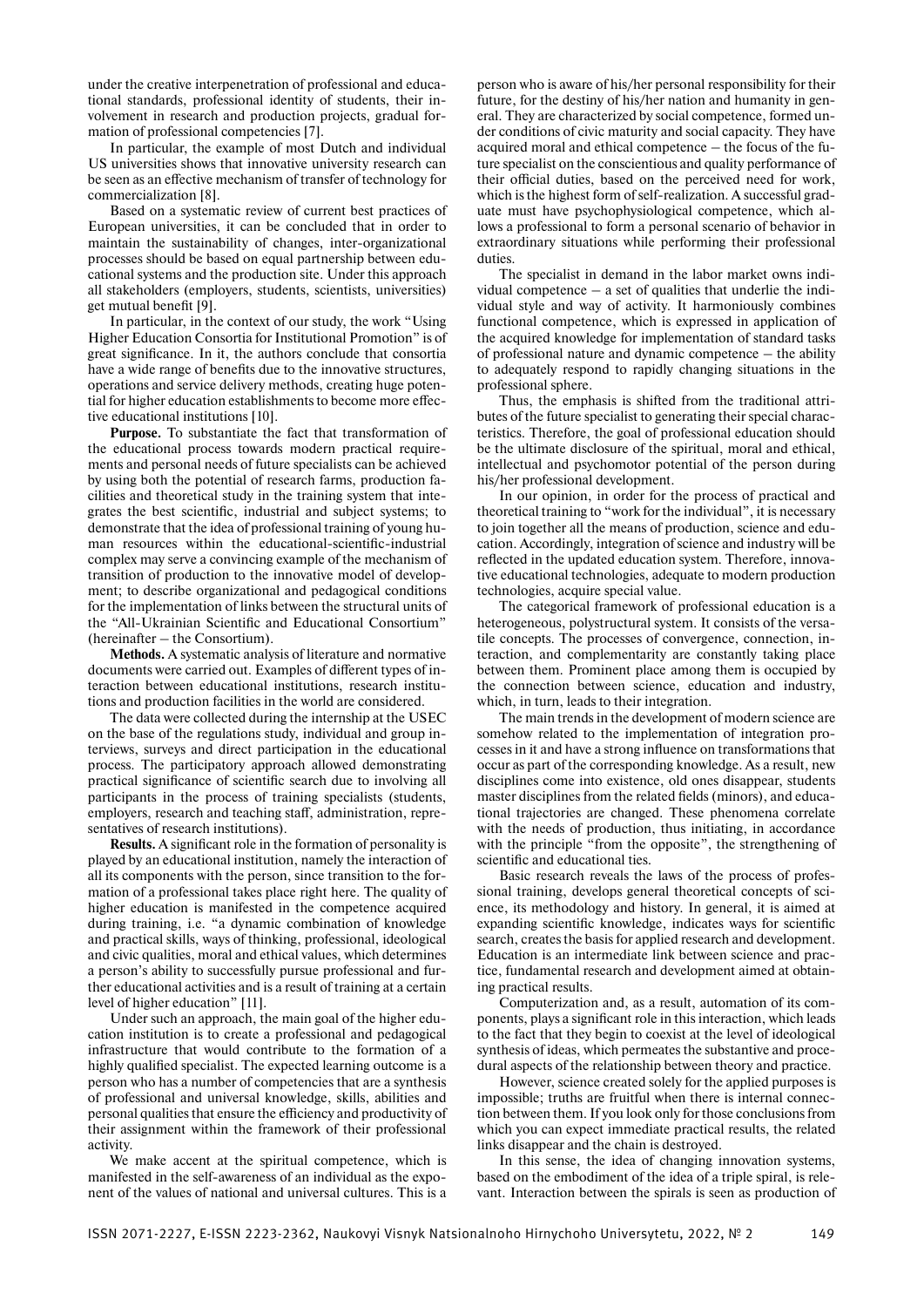under the creative interpenetration of professional and educational standards, professional identity of students, their involvement in research and production projects, gradual formation of professional competencies [7].

In particular, the example of most Dutch and individual US universities shows that innovative university research can be seen as an effective mechanism of transfer of technology for commercialization [8].

Based on a systematic review of current best practices of European universities, it can be concluded that in order to maintain the sustainability of changes, inter-organizational processes should be based on equal partnership between educational systems and the production site. Under this approach all stakeholders (employers, students, scientists, universities) get mutual benefit [9].

In particular, in the context of our study, the work "Using Higher Education Consortia for Institutional Promotion" is of great significance. In it, the authors conclude that consortia have a wide range of benefits due to the innovative structures, operations and service delivery methods, creating huge potential for higher education establishments to become more effective educational institutions [10].

**Purpose.** To substantiate the fact that transformation of the educational process towards modern practical requirements and personal needs of future specialists can be achieved by using both the potential of research farms, production facilities and theoretical study in the training system that integrates the best scientific, industrial and subject systems; to demonstrate that the idea of professional training of young human resources within the educational-scientific-industrial complex may serve a convincing example of the mechanism of transition of production to the innovative model of development; to describe organizational and pedagogical conditions for the implementation of links between the structural units of the "All-Ukrainian Scientific and Educational Consortium" (hereinafter – the Consortium).

**Methods.** A systematic analysis of literature and normative documents were carried out. Examples of different types of interaction between educational institutions, research institutions and production facilities in the world are considered.

The data were collected during the internship at the USEC on the base of the regulations study, individual and group interviews, surveys and direct participation in the educational process. The participatory approach allowed demonstrating practical significance of scientific search due to involving all participants in the process of training specialists (students, employers, research and teaching staff, administration, representatives of research institutions).

**Results.** A significant role in the formation of personality is played by an educational institution, namely the interaction of all its components with the person, since transition to the formation of a professional takes place right here. The quality of higher education is manifested in the competence acquired during training, i.e. "a dynamic combination of knowledge and practical skills, ways of thinking, professional, ideological and civic qualities, moral and ethical values, which determines a person's ability to successfully pursue professional and further educational activities and is a result of training at a certain level of higher education" [11].

Under such an approach, the main goal of the higher education institution is to create a professional and pedagogical infrastructure that would contribute to the formation of a highly qualified specialist. The expected learning outcome is a person who has a number of competencies that are a synthesis of professional and universal knowledge, skills, abilities and personal qualities that ensure the efficiency and productivity of their assignment within the framework of their professional activity.

We make accent at the spiritual competence, which is manifested in the self-awareness of an individual as the exponent of the values of national and universal cultures. This is a

person who is aware of his/her personal responsibility for their future, for the destiny of his/her nation and humanity in general. They are characterized by social competence, formed under conditions of civic maturity and social capacity. They have acquired moral and ethical competence – the focus of the future specialist on the conscientious and quality performance of their official duties, based on the perceived need for work, which is the highest form of self-realization. A successful graduate must have psychophysiological competence, which allows a professional to form a personal scenario of behavior in extraordinary situations while performing their professional duties.

The specialist in demand in the labor market owns individual competence  $-$  a set of qualities that underlie the individual style and way of activity. It harmoniously combines functional competence, which is expressed in application of the acquired knowledge for implementation of standard tasks of professional nature and dynamic competence – the ability to adequately respond to rapidly changing situations in the professional sphere.

Thus, the emphasis is shifted from the traditional attributes of the future specialist to generating their special characteristics. Therefore, the goal of professional education should be the ultimate disclosure of the spiritual, moral and ethical, intellectual and psychomotor potential of the person during his/her professional development.

In our opinion, in order for the process of practical and theoretical training to "work for the individual", it is necessary to join together all the means of production, science and education. Accordingly, integration of science and industry will be reflected in the updated education system. Therefore, innovative educational technologies, adequate to modern production technologies, acquire special value.

The categorical framework of professional education is a heterogeneous, polystructural system. It consists of the versatile concepts. The processes of convergence, connection, interaction, and complementarity are constantly taking place between them. Prominent place among them is occupied by the connection between science, education and industry, which, in turn, leads to their integration.

The main trends in the development of modern science are somehow related to the implementation of integration processes in it and have a strong influence on transformations that occur as part of the corresponding knowledge. As a result, new disciplines come into existence, old ones disappear, students master disciplines from the related fields (minors), and educational trajectories are changed. These phenomena correlate with the needs of production, thus initiating, in accordance with the principle "from the opposite", the strengthening of scientific and educational ties.

Basic research reveals the laws of the process of professional training, develops general theoretical concepts of science, its methodology and history. In general, it is aimed at expanding scientific knowledge, indicates ways for scientific search, creates the basis for applied research and development. Education is an intermediate link between science and practice, fundamental research and development aimed at obtaining practical results.

Computerization and, as a result, automation of its components, plays a significant role in this interaction, which leads to the fact that they begin to coexist at the level of ideological synthesis of ideas, which permeates the substantive and procedural aspects of the relationship between theory and practice.

However, science created solely for the applied purposes is impossible; truths are fruitful when there is internal connection between them. If you look only for those conclusions from which you can expect immediate practical results, the related links disappear and the chain is destroyed.

In this sense, the idea of changing innovation systems, based on the embodiment of the idea of a triple spiral, is relevant. Interaction between the spirals is seen as production of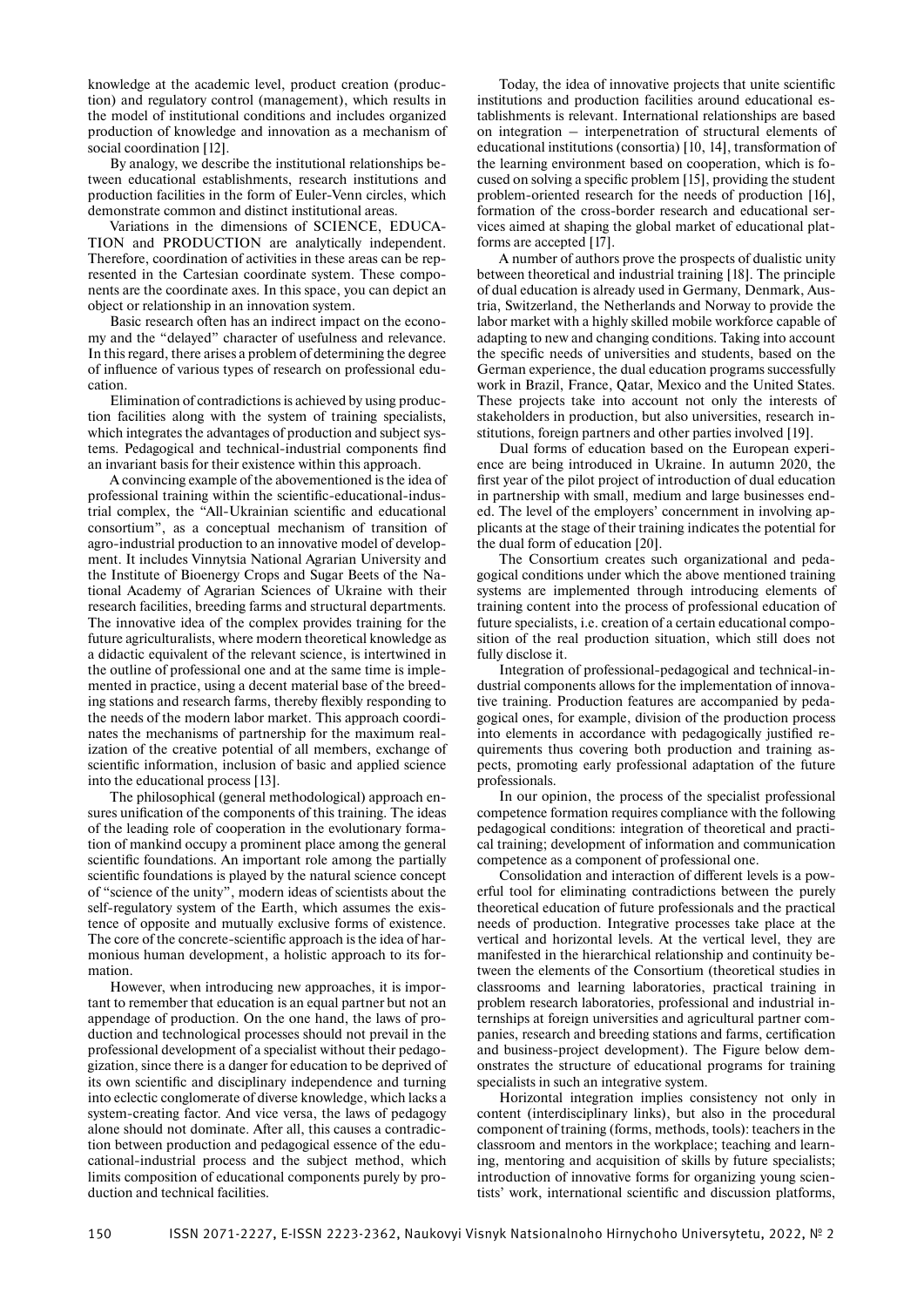knowledge at the academic level, product creation (production) and regulatory control (management), which results in the model of institutional conditions and includes organized production of knowledge and innovation as a mechanism of social coordination [12].

By analogy, we describe the institutional relationships between educational establishments, research institutions and production facilities in the form of Euler-Venn circles, which demonstrate common and distinct institutional areas.

Variations in the dimensions of SCIENCE, EDUCA-TION and PRODUCTION are analytically independent. Therefore, coordination of activities in these areas can be represented in the Cartesian coordinate system. These components are the coordinate axes. In this space, you can depict an object or relationship in an innovation system.

Basic research often has an indirect impact on the economy and the "delayed" character of usefulness and relevance. In this regard, there arises a problem of determining the degree of influence of various types of research on professional education.

Elimination of contradictions is achieved by using production facilities along with the system of training specialists, which integrates the advantages of production and subject systems. Pedagogical and technical-industrial components find an invariant basis for their existence within this approach.

A convincing example of the abovementioned is the idea of professional training within the scientific-educational-industrial complex, the "All-Ukrainian scientific and educational consortium", as a conceptual mechanism of transition of agro-industrial production to an innovative model of development. It includes Vinnytsia National Agrarian University and the Institute of Bioenergy Crops and Sugar Beets of the National Academy of Agrarian Sciences of Ukraine with their research facilities, breeding farms and structural departments. The innovative idea of the complex provides training for the future agriculturalists, where modern theoretical knowledge as a didactic equivalent of the relevant science, is intertwined in the outline of professional one and at the same time is implemented in practice, using a decent material base of the breeding stations and research farms, thereby flexibly responding to the needs of the modern labor market. This approach coordinates the mechanisms of partnership for the maximum realization of the creative potential of all members, exchange of scientific information, inclusion of basic and applied science into the educational process [13].

The philosophical (general methodological) approach ensures unification of the components of this training. The ideas of the leading role of cooperation in the evolutionary formation of mankind occupy a prominent place among the general scientific foundations. An important role among the partially scientific foundations is played by the natural science concept of "science of the unity", modern ideas of scientists about the self-regulatory system of the Earth, which assumes the existence of opposite and mutually exclusive forms of existence. The core of the concrete-scientific approach is the idea of harmonious human development, a holistic approach to its formation.

However, when introducing new approaches, it is important to remember that education is an equal partner but not an appendage of production. On the one hand, the laws of production and technological processes should not prevail in the professional development of a specialist without their pedagogization, since there is a danger for education to be deprived of its own scientific and disciplinary independence and turning into eclectic conglomerate of diverse knowledge, which lacks a system-creating factor. And vice versa, the laws of pedagogy alone should not dominate. After all, this causes a contradiction between production and pedagogical essence of the educational-industrial process and the subject method, which limits composition of educational components purely by production and technical facilities.

Today, the idea of innovative projects that unite scientific institutions and production facilities around educational establishments is relevant. International relationships are based on integration – interpenetration of structural elements of educational institutions (consortia) [10, 14], transformation of the learning environment based on cooperation, which is focused on solving a specific problem [15], providing the student problem-oriented research for the needs of production [16], formation of the cross-border research and educational services aimed at shaping the global market of educational platforms are accepted [17].

A number of authors prove the prospects of dualistic unity between theoretical and industrial training [18]. The principle of dual education is already used in Germany, Denmark, Austria, Switzerland, the Netherlands and Norway to provide the labor market with a highly skilled mobile workforce capable of adapting to new and changing conditions. Taking into account the specific needs of universities and students, based on the German experience, the dual education programs successfully work in Brazil, France, Qatar, Mexico and the United States. These projects take into account not only the interests of stakeholders in production, but also universities, research institutions, foreign partners and other parties involved [19].

Dual forms of education based on the European experience are being introduced in Ukraine. In autumn 2020, the first year of the pilot project of introduction of dual education in partnership with small, medium and large businesses ended. The level of the employers' concernment in involving applicants at the stage of their training indicates the potential for the dual form of education [20].

The Consortium creates such organizational and pedagogical conditions under which the above mentioned training systems are implemented through introducing elements of training content into the process of professional education of future specialists, i.e. creation of a certain educational composition of the real production situation, which still does not fully disclose it.

Integration of professional-pedagogical and technical-industrial components allows for the implementation of innovative training. Production features are accompanied by pedagogical ones, for example, division of the production process into elements in accordance with pedagogically justified requirements thus covering both production and training aspects, promoting early professional adaptation of the future professionals.

In our opinion, the process of the specialist professional competence formation requires compliance with the following pedagogical conditions: integration of theoretical and practical training; development of information and communication competence as a component of professional one.

Consolidation and interaction of different levels is a powerful tool for eliminating contradictions between the purely theoretical education of future professionals and the practical needs of production. Integrative processes take place at the vertical and horizontal levels. At the vertical level, they are manifested in the hierarchical relationship and continuity between the elements of the Consortium (theoretical studies in classrooms and learning laboratories, practical training in problem research laboratories, professional and industrial internships at foreign universities and agricultural partner companies, research and breeding stations and farms, certification and business-project development). The Figure below demonstrates the structure of educational programs for training specialists in such an integrative system.

Horizontal integration implies consistency not only in content (interdisciplinary links), but also in the procedural component of training (forms, methods, tools): teachers in the classroom and mentors in the workplace; teaching and learning, mentoring and acquisition of skills by future specialists; introduction of innovative forms for organizing young scientists' work, international scientific and discussion platforms,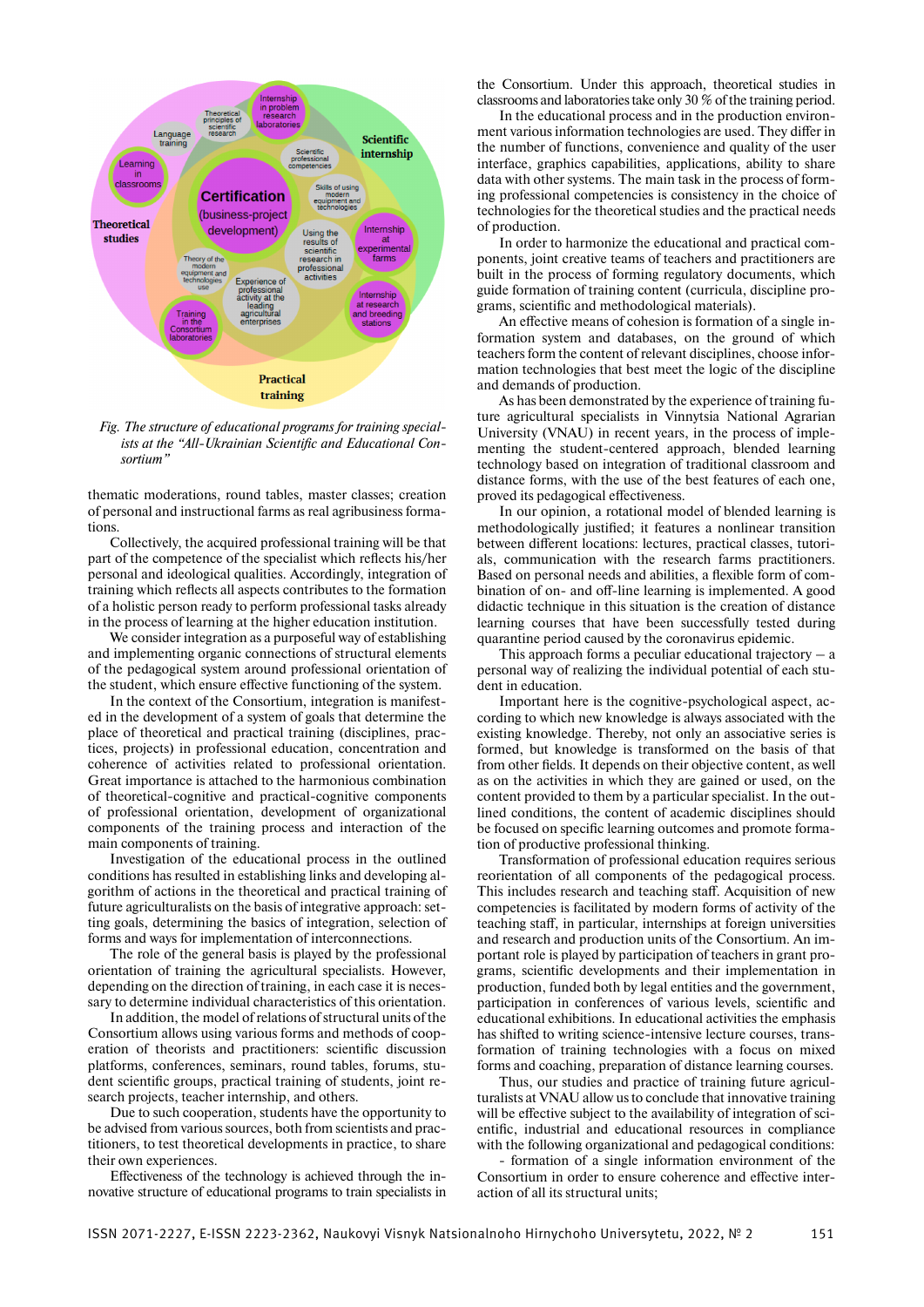

*Fig. The structure of educational programs for training special*ists at the "All-Ukrainian Scientific and Educational Con*sortium"*

thematic moderations, round tables, master classes; creation of personal and instructional farms as real agribusiness formations.

Collectively, the acquired professional training will be that part of the competence of the specialist which reflects his/her personal and ideological qualities. Accordingly, integration of training which reflects all aspects contributes to the formation of a holistic person ready to perform professional tasks already in the process of learning at the higher education institution.

We consider integration as a purposeful way of establishing and implementing organic connections of structural elements of the pedagogical system around professional orientation of the student, which ensure effective functioning of the system.

In the context of the Consortium, integration is manifested in the development of a system of goals that determine the place of theoretical and practical training (disciplines, practices, projects) in professional education, concentration and coherence of activities related to professional orientation. Great importance is attached to the harmonious combination of theoretical-cognitive and practical-cognitive components of professional orientation, development of organizational components of the training process and interaction of the main components of training.

Investigation of the educational process in the outlined conditions has resulted in establishing links and developing algorithm of actions in the theoretical and practical training of future agriculturalists on the basis of integrative approach: setting goals, determining the basics of integration, selection of forms and ways for implementation of interconnections.

The role of the general basis is played by the professional orientation of training the agricultural specialists. However, depending on the direction of training, in each case it is necessary to determine individual characteristics of this orientation.

In addition, the model of relations of structural units of the Consortium allows using various forms and methods of cooperation of theorists and practitioners: scientific discussion platforms, conferences, seminars, round tables, forums, student scientific groups, practical training of students, joint research projects, teacher internship, and others.

Due to such cooperation, students have the opportunity to be advised from various sources, both from scientists and practitioners, to test theoretical developments in practice, to share their own experiences.

Effectiveness of the technology is achieved through the innovative structure of educational programs to train specialists in

the Consortium. Under this approach, theoretical studies in classrooms and laboratories take only 30 % of the training period.

In the educational process and in the production environment various information technologies are used. They differ in the number of functions, convenience and quality of the user interface, graphics capabilities, applications, ability to share data with other systems. The main task in the process of forming professional competencies is consistency in the choice of technologies for the theoretical studies and the practical needs of production.

In order to harmonize the educational and practical components, joint creative teams of teachers and practitioners are built in the process of forming regulatory documents, which guide formation of training content (curricula, discipline programs, scientific and methodological materials).

An effective means of cohesion is formation of a single information system and databases, on the ground of which teachers form the content of relevant disciplines, choose information technologies that best meet the logic of the discipline and demands of production.

As has been demonstrated by the experience of training future agricultural specialists in Vinnytsia National Agrarian University (VNAU) in recent years, in the process of implementing the student-centered approach, blended learning technology based on integration of traditional classroom and distance forms, with the use of the best features of each one, proved its pedagogical effectiveness.

In our opinion, a rotational model of blended learning is methodologically justified; it features a nonlinear transition between different locations: lectures, practical classes, tutorials, communication with the research farms practitioners. Based on personal needs and abilities, a flexible form of combination of on- and off-line learning is implemented. A good didactic technique in this situation is the creation of distance learning courses that have been successfully tested during quarantine period caused by the coronavirus epidemic.

This approach forms a peculiar educational trajectory  $-$  a personal way of realizing the individual potential of each student in education.

Important here is the cognitive-psychological aspect, according to which new knowledge is always associated with the existing knowledge. Thereby, not only an associative series is formed, but knowledge is transformed on the basis of that from other fields. It depends on their objective content, as well as on the activities in which they are gained or used, on the content provided to them by a particular specialist. In the outlined conditions, the content of academic disciplines should be focused on specific learning outcomes and promote formation of productive professional thinking.

Transformation of professional education requires serious reorientation of all components of the pedagogical process. This includes research and teaching staff. Acquisition of new competencies is facilitated by modern forms of activity of the teaching staff, in particular, internships at foreign universities and research and production units of the Consortium. An important role is played by participation of teachers in grant programs, scientific developments and their implementation in production, funded both by legal entities and the government, participation in conferences of various levels, scientific and educational exhibitions. In educational activities the emphasis has shifted to writing science-intensive lecture courses, transformation of training technologies with a focus on mixed forms and coaching, preparation of distance learning courses.

Thus, our studies and practice of training future agriculturalists at VNAU allow us to conclude that innovative training will be effective subject to the availability of integration of scientific, industrial and educational resources in compliance with the following organizational and pedagogical conditions:

formation of a single information environment of the Consortium in order to ensure coherence and effective interaction of all its structural units;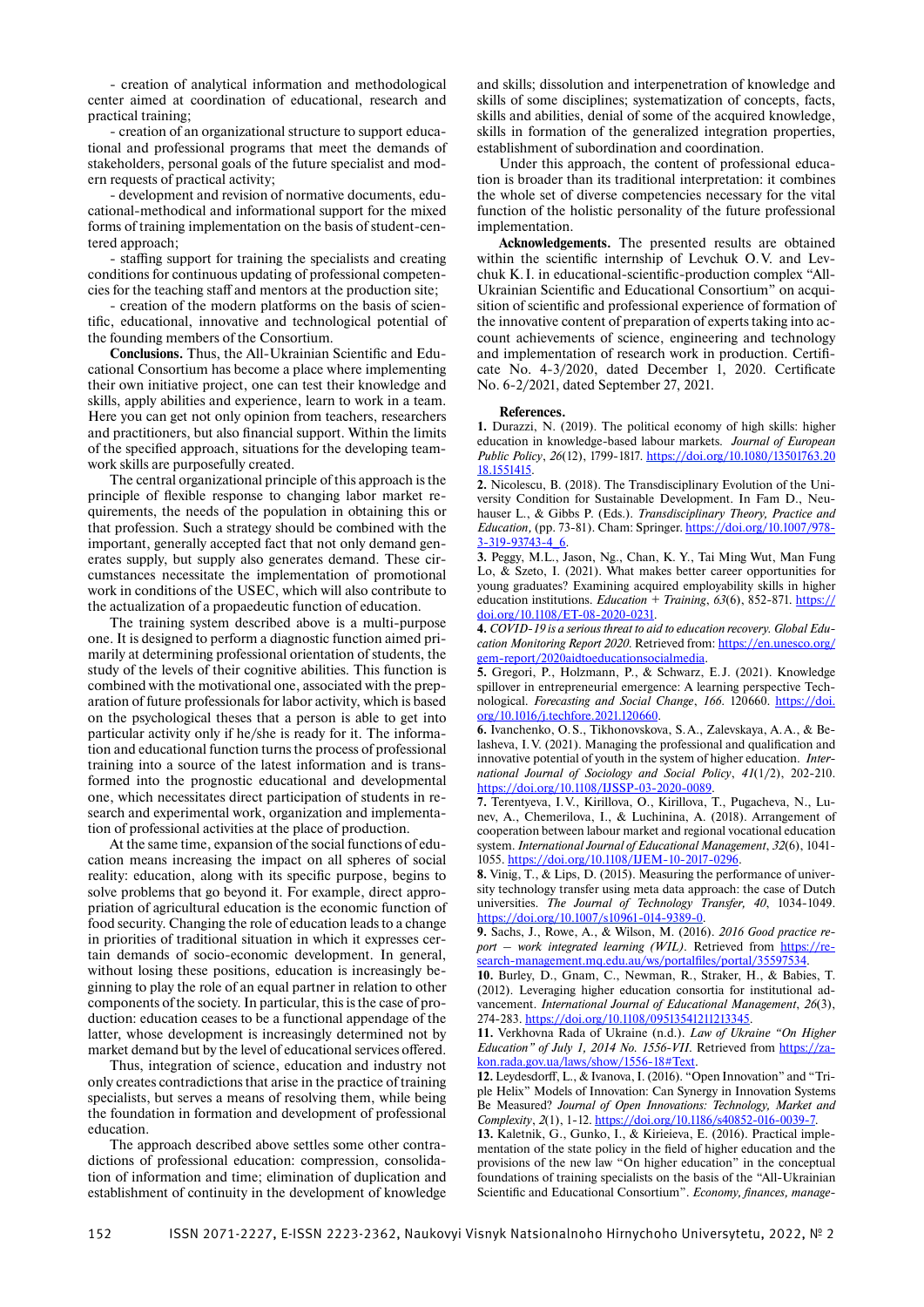- creation of analytical information and methodological center aimed at coordination of educational, research and practical training;

- creation of an organizational structure to support educational and professional programs that meet the demands of stakeholders, personal goals of the future specialist and modern requests of practical activity;

- development and revision of normative documents, educational-methodical and informational support for the mixed forms of training implementation on the basis of student-centered approach;

- staffing support for training the specialists and creating conditions for continuous updating of professional competencies for the teaching staff and mentors at the production site;

- creation of the modern platforms on the basis of scientific, educational, innovative and technological potential of the founding members of the Consortium.

**Conclusions.** Thus, the All-Ukrainian Scientific and Educational Consortium has become a place where implementing their own initiative project, one can test their knowledge and skills, apply abilities and experience, learn to work in a team. Here you can get not only opinion from teachers, researchers and practitioners, but also financial support. Within the limits of the specified approach, situations for the developing teamwork skills are purposefully created.

The central organizational principle of this approach is the principle of flexible response to changing labor market requirements, the needs of the population in obtaining this or that profession. Such a strategy should be combined with the important, generally accepted fact that not only demand generates supply, but supply also generates demand. These circumstances necessitate the implementation of promotional work in conditions of the USEC, which will also contribute to the actualization of a propaedeutic function of education.

The training system described above is a multi-purpose one. It is designed to perform a diagnostic function aimed primarily at determining professional orientation of students, the study of the levels of their cognitive abilities. This function is combined with the motivational one, associated with the preparation of future professionals for labor activity, which is based on the psychological theses that a person is able to get into particular activity only if he/she is ready for it. The information and educational function turns the process of professional training into a source of the latest information and is transformed into the prognostic educational and developmental one, which necessitates direct participation of students in research and experimental work, organization and implementation of professional activities at the place of production.

At the same time, expansion of the social functions of education means increasing the impact on all spheres of social reality: education, along with its specific purpose, begins to solve problems that go beyond it. For example, direct appropriation of agricultural education is the economic function of food security. Changing the role of education leads to a change in priorities of traditional situation in which it expresses certain demands of socio-economic development. In general, without losing these positions, education is increasingly beginning to play the role of an equal partner in relation to other components of the society. In particular, this is the case of production: education ceases to be a functional appendage of the latter, whose development is increasingly determined not by market demand but by the level of educational services offered.

Thus, integration of science, education and industry not only creates contradictions that arise in the practice of training specialists, but serves a means of resolving them, while being the foundation in formation and development of professional education.

The approach described above settles some other contradictions of professional education: compression, consolidation of information and time; elimination of duplication and establishment of continuity in the development of knowledge and skills; dissolution and interpenetration of knowledge and skills of some disciplines; systematization of concepts, facts, skills and abilities, denial of some of the acquired knowledge, skills in formation of the generalized integration properties, establishment of subordination and coordination.

Under this approach, the content of professional education is broader than its traditional interpretation: it combines the whole set of diverse competencies necessary for the vital function of the holistic personality of the future professional implementation.

**Acknowledgements.** The presented results are obtained within the scientific internship of Levchuk O.V. and Levchuk K. I. in educational-scientific-production complex "All-Ukrainian Scientific and Educational Consortium" on acquisition of scientific and professional experience of formation of the innovative content of preparation of experts taking into account achievements of science, engineering and technology and implementation of research work in production. Certificate No. 4-3/2020, dated December 1, 2020. Certificate No. 6-2/2021, dated September 27, 2021.

### **References.**

**1.** Durazzi, N. (2019). The political economy of high skills: higher education in knowledge-based labour markets. *Journal of European Public Policy*, *26*(12), 1799-1817. https://doi.org/10.1080/13501763.20 18.1551415.

**2.** Nicolescu, B. (2018). The Transdisciplinary Evolution of the University Condition for Sustainable Development. In Fam D., Neuhauser L., & Gibbs P. (Eds.). *Transdisciplinary Theory, Practice and Education,* (pp. 73-81). Cham: Springer. https://doi.org/10.1007/978- 3-319-93743-4\_6.

**3.** Peggy, M.L., Jason, Ng., Chan, K. Y., Tai Ming Wut, Man Fung Lo, & Szeto, I. (2021). What makes better career opportunities for young graduates? Examining acquired employability skills in higher education institutions. *Education + Training*, *63*(6), 852-871. https:// doi.org/10.1108/ET-08-2020-0231.

**4.** *COVID-19 is a serious threat to aid to education recovery. Global Edu*cation Monitoring Report 2020. Retrieved from: https://en.unesco.org/ gem-report/2020aidtoeducationsocialmedia.

**5.** Gregori, P., Holzmann, P., & Schwarz, E. J. (2021). Knowledge spillover in entrepreneurial emergence: A learning perspective Technological. *Forecasting and Social Change*, *166*. 120660. https://doi. org/10.1016/j.techfore.2021.120660.

**6.** Ivanchenko, O. S., Tikhonovskova, S. A., Zalevskaya, A. A., & Belasheva, I.V. (2021). Managing the professional and qualification and innovative potential of youth in the system of higher education. *International Journal of Sociology and Social Policy*, *41*(1/2), 202-210. https://doi.org/10.1108/IJSSP-03-2020-0089.

**7.** Terentyeva, I. V., Kirillova, O., Kirillova, T., Pugacheva, N., Lunev, A., Chemerilova, I., & Luchinina, A. (2018). Arrangement of cooperation between labour market and regional vocational education system. *International Journal of Educational Management*, *32*(6), 1041- 1055. https://doi.org/10.1108/IJEM-10-2017-0296.

**8.** Vinig, T., & Lips, D. (2015). Measuring the performance of university technology transfer using meta data approach: the case of Dutch universities. *The Journal of Technology Transfer, 40*, 1034-1049. https://doi.org/10.1007/s10961-014-9389-0.

**9.** Sachs, J., Rowe, A., & Wilson, M. (2016). *2016 Good practice re*port – work integrated learning (WIL). Retrieved from https://research-management.mq.edu.au/ws/portalfiles/portal/35597534.

**10.** Burley, D., Gnam, C., Newman, R., Straker, H., & Babies, T. (2012). Leveraging higher education consortia for institutional advancement. *International Journal of Educational Management*, *26*(3), 274-283. https://doi.org/10.1108/09513541211213345.

**11.** Verkhovna Rada of Ukraine (n.d.). *Law of Ukraine "On Higher Education" of July 1, 2014 No. 1556-VII.* Retrieved from https://zakon.rada.gov.ua/laws/show/1556-18#Text.

12. Leydesdorff, L., & Ivanova, I. (2016). "Open Innovation" and "Triple Helix" Models of Innovation: Can Synergy in Innovation Systems Be Measured? *Journal of Open Innovations: Technology, Market and Complexity*, *2*(1), 1-12. https://doi.org/10.1186/s40852-016-0039-7.

**13.** Kaletnik, G., Gunko, I., & Kirieieva, E. (2016). Practical implementation of the state policy in the field of higher education and the provisions of the new law "On higher education" in the conceptual foundations of training specialists on the basis of the "All-Ukrainian Scientific and Educational Consortium". *Economy, finances, manage-*